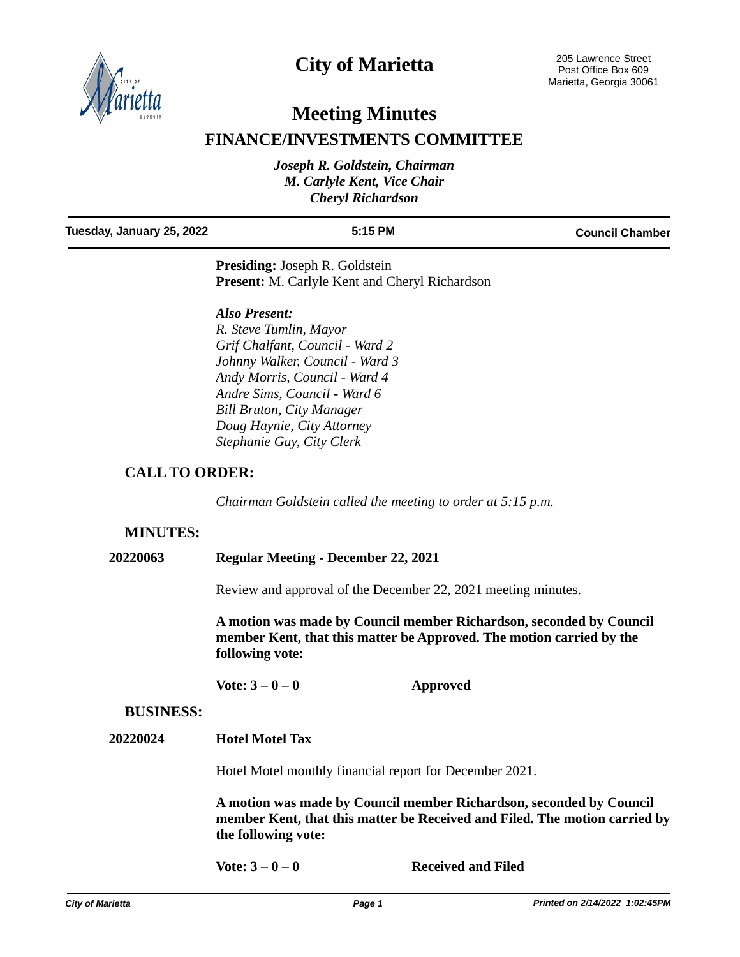

# **City of Marietta**

# **Meeting Minutes**

# **FINANCE/INVESTMENTS COMMITTEE**

| Joseph R. Goldstein, Chairman |  |
|-------------------------------|--|
| M. Carlyle Kent, Vice Chair   |  |
| <b>Cheryl Richardson</b>      |  |
|                               |  |

### **Tuesday, January 25, 2022 5:15 PM Council Chamber**

**Presiding:** Joseph R. Goldstein **Present:** M. Carlyle Kent and Cheryl Richardson

### *Also Present:*

*R. Steve Tumlin, Mayor Grif Chalfant, Council - Ward 2 Johnny Walker, Council - Ward 3 Andy Morris, Council - Ward 4 Andre Sims, Council - Ward 6 Bill Bruton, City Manager Doug Haynie, City Attorney Stephanie Guy, City Clerk*

# **CALL TO ORDER:**

*Chairman Goldstein called the meeting to order at 5:15 p.m.*

## **MINUTES:**

**20220063 Regular Meeting - December 22, 2021**

Review and approval of the December 22, 2021 meeting minutes.

**A motion was made by Council member Richardson, seconded by Council member Kent, that this matter be Approved. The motion carried by the following vote:**

**Vote: 3 – 0 – 0 Approved**

## **BUSINESS:**

**20220024 Hotel Motel Tax**

Hotel Motel monthly financial report for December 2021.

**A motion was made by Council member Richardson, seconded by Council member Kent, that this matter be Received and Filed. The motion carried by the following vote:**

Vote:  $3-0-0$  **Received and Filed**